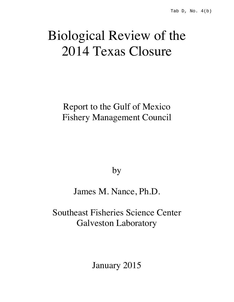# Biological Review of the 2014 Texas Closure

Report to the Gulf of Mexico Fishery Management Council

by

James M. Nance, Ph.D.

Southeast Fisheries Science Center Galveston Laboratory

January 2015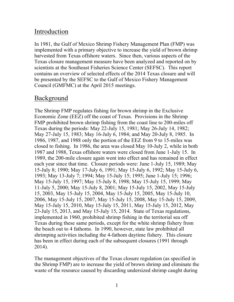# Introduction

In 1981, the Gulf of Mexico Shrimp Fishery Management Plan (FMP) was implemented with a primary objective to increase the yield of brown shrimp harvested from Texas offshore waters. Since then, various aspects of the Texas closure management measure have been analyzed and reported on by scientists at the Southeast Fisheries Science Center (SEFSC). This report contains an overview of selected effects of the 2014 Texas closure and will be presented by the SEFSC to the Gulf of Mexico Fishery Management Council (GMFMC) at the April 2015 meetings.

# Background

The Shrimp FMP regulates fishing for brown shrimp in the Exclusive Economic Zone (EEZ) off the coast of Texas. Provisions in the Shrimp FMP prohibited brown shrimp fishing from the coast line to 200-miles off Texas during the periods: May 22-July 15, 1981; May 26-July 14, 1982; May 27-July 15, 1983; May 16-July 6, 1984; and May 20-July 8, 1985. In 1986, 1987, and 1988 only the portion of the EEZ from 9 to 15-miles was closed to fishing. In 1986, the area was closed May 10-July 2, while in both 1987 and 1988, Texas offshore waters were closed from June 1-July 15. In 1989, the 200-mile closure again went into effect and has remained in effect each year since that time. Closure periods were: June 1-July 15, 1989; May 15-July 8; 1990; May 17-July 6, 1991; May 15-July 6, 1992; May 15-July 6, 1993; May 13-July 7; 1994; May 15-July 15; 1995; June 1-July 15; 1996; May 15-July 15, 1997; May 15-July 8, 1998; May 15-July 15, 1999; May 11-July 5, 2000; May 15-July 8, 2001; May 15-July 15, 2002, May 15-July 15, 2003, May 15-July 15, 2004, May 15-July 15, 2005, May 15-July 10, 2006, May 15-July 15, 2007, May 15-July 15, 2008, May 15-July 15, 2009, May 15-July 15, 2010, May 15-July 15, 2011, May 15-July 15, 2012, May 23-July 15, 2013, and May 15-July 15, 2014. State of Texas regulations, implemented in 1960, prohibited shrimp fishing in the territorial sea off Texas during these same periods, except for the white shrimp fishery from the beach out to 4 fathoms. In 1990, however, state law prohibited all shrimping activities including the 4-fathom daytime fishery. This closure has been in effect during each of the subsequent closures (1991 through 2014).

The management objectives of the Texas closure regulation (as specified in the Shrimp FMP) are to increase the yield of brown shrimp and eliminate the waste of the resource caused by discarding undersized shrimp caught during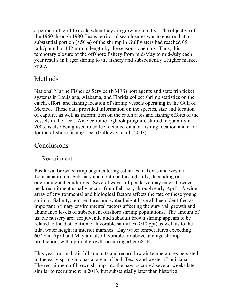a period in their life cycle when they are growing rapidly. The objective of the 1960 through 1980 Texas territorial sea closures was to ensure that a substantial portion  $(>=50\%)$  of the shrimp in Gulf waters had reached 65 tails/pound or 112 mm in length by the season's opening. Thus, this temporary closure of the offshore fishery from mid-May to mid-July each year results in larger shrimp to the fishery and subsequently a higher market value.

# Methods

National Marine Fisheries Service (NMFS) port agents and state trip ticket systems in Louisiana, Alabama, and Florida collect shrimp statistics on the catch, effort, and fishing location of shrimp vessels operating in the Gulf of Mexico. These data provided information on the species, size and location of capture, as well as information on the catch rates and fishing efforts of the vessels in the fleet. An electronic logbook program, started in quantity in 2005, is also being used to collect detailed data on fishing location and effort for the offshore fishing fleet (Gallaway, et al., 2003).

## Conclusions

## 1. Recruitment

Postlarval brown shrimp begin entering estuaries in Texas and western Louisiana in mid-February and continue through July, depending on environmental conditions. Several waves of postlarve may enter; however, peak recruitment usually occurs from February through early April. A wide array of environmental and biological factors affects the fate of these young shrimp. Salinity, temperature, and water height have all been identified as important primary environmental factors affecting the survival, growth and abundance levels of subsequent offshore shrimp populations. The amount of usable nursery area for juvenile and subadult brown shrimp appears to be related to the distribution of favorable salinities  $(\geq 10 \text{ ppt})$  as well as to the tidal water height in interior marshes. Bay water temperatures exceeding 60° F in April and May are also favorable for above average shrimp production, with optimal growth occurring after 68° F.

This year, normal rainfall amounts and record low air temperatures persisted in the early spring in coastal areas of both Texas and western Louisiana. The recruitment of brown shrimp into the bays occurred several weeks later; similar to recruitment in 2013, but substantially later than historical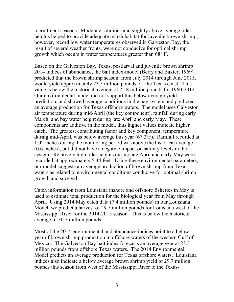recruitment seasons. Moderate salinities and slightly above average tidal heights helped to provide adequate marsh habitat for juvenile brown shrimp; however, record low water temperatures observed in Galveston Bay, the result of several weather fronts, were not conducive for optimal shrimp growth which occurs in water temperatures greater than 68° F.

Based on the Galveston Bay, Texas, postlarval and juvenile brown shrimp 2014 indices of abundance, the bait index-model (Berry and Baxter, 1969) predicted that the brown shrimp season, from July 2014 through June 2015, would yield approximately 23.5 million pounds off the Texas coast. This value is below the historical average of 25.8 million pounds for 1960-2012. Our environmental model did not support this below average yield prediction, and showed average conditions in the bay system and predicted an average production for Texas offshore waters. The model uses Galveston air temperature during mid-April (the key component), rainfall during early March, and bay water height during late April and early May. These components are additive in the model, thus higher values indicate higher catch. The greatest contributing factor and key component, temperature during mid-April, was below average this year (67.2ºF). Rainfall recorded at 1.02 inches during the monitoring period was above the historical average (0.6 inches), but did not have a negative impact on salinity levels in the system. Relatively high tidal heights during late April and early May were recorded at approximately 5.44 feet. Using these environmental parameters, our model suggests an average production of brown shrimp from Texas waters as related to environmental conditions conducive for optimal shrimp growth and survival.

Catch information from Louisiana inshore and offshore fisheries in May is used to estimate total production for the biological year from May through April. Using 2014 May catch data (7.4 million pounds) in our Louisiana Model, we predict a harvest of 29.7 million pounds for Louisiana west of the Mississippi River for the 2014-2015 season. This is below the historical average of 30.7 million pounds.

Most of the 2014 environmental and abundance indices point to a below year of brown shrimp production in offshore waters of the western Gulf of Mexico. The Galveston Bay bait index forecasts an average year at 23.5 million pounds from offshore Texas waters. The 2014 Environmental Model predicts an average production for Texas offshore waters. Louisiana indices also indicate a below average brown shrimp yield of 29.7 million pounds this season from west of the Mississippi River to the Texas-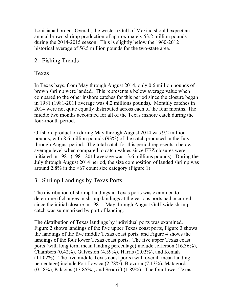Louisiana border. Overall, the western Gulf of Mexico should expect an annual brown shrimp production of approximately 53.2 million pounds during the 2014-2015 season. This is slightly below the 1960-2012 historical average of 56.5 million pounds for the two-state area.

## 2. Fishing Trends

## Texas

In Texas bays, from May through August 2014, only 0.6 million pounds of brown shrimp were landed. This represents a below average value when compared to the other inshore catches for this period since the closure began in 1981 (1981-2011 average was 4.2 millions pounds). Monthly catches in 2014 were not quite equally distributed across each of the four months. The middle two months accounted for all of the Texas inshore catch during the four-month period.

Offshore production during May through August 2014 was 9.2 million pounds, with 8.6 million pounds (93%) of the catch produced in the July through August period. The total catch for this period represents a below average level when compared to catch values since EEZ closures were initiated in 1981 (1981-2011 average was 13.6 millions pounds). During the July through August 2014 period, the size composition of landed shrimp was around 2.8% in the >67 count size category (Figure 1).

## 3. Shrimp Landings by Texas Ports

The distribution of shrimp landings in Texas ports was examined to determine if changes in shrimp landings at the various ports had occurred since the initial closure in 1981. May through August Gulf-wide shrimp catch was summarized by port of landing.

The distribution of Texas landings by individual ports was examined. Figure 2 shows landings of the five upper Texas coast ports, Figure 3 shows the landings of the five middle Texas coast ports, and Figure 4 shows the landings of the four lower Texas coast ports. The five upper Texas coast ports (with long term mean landing percentage) include Jefferson (16.36%), Chambers  $(0.42\%)$ , Galveston  $(4.59\%)$ , Harris  $(2.02\%)$ , and Kemah (11.02%). The five middle Texas coast ports (with overall mean landing percentage) include Port Lavaca (2.78%), Brazoria (7.13%), Matagorda  $(0.58\%)$ , Palacios  $(13.85\%)$ , and Seadrift  $(1.89\%)$ . The four lower Texas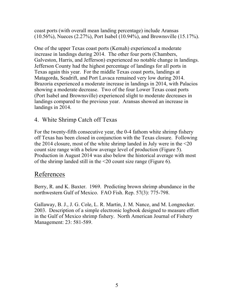coast ports (with overall mean landing percentage) include Aransas (10.56%), Nueces (2.27%), Port Isabel (10.94%), and Brownsville (15.17%).

One of the upper Texas coast ports (Kemah) experienced a moderate increase in landings during 2014. The other four ports (Chambers, Galveston, Harris, and Jefferson) experienced no notable change in landings. Jefferson County had the highest percentage of landings for all ports in Texas again this year. For the middle Texas coast ports, landings at Matagorda, Seadrift, and Port Lavaca remained very low during 2014. Brazoria experienced a moderate increase in landings in 2014, with Palacios showing a moderate decrease. Two of the four Lower Texas coast ports (Port Isabel and Brownsville) experienced slight to moderate decreases in landings compared to the previous year. Aransas showed an increase in landings in 2014.

#### 4. White Shrimp Catch off Texas

For the twenty-fifth consecutive year, the 0-4 fathom white shrimp fishery off Texas has been closed in conjunction with the Texas closure. Following the 2014 closure, most of the white shrimp landed in July were in the <20 count size range with a below average level of production (Figure 5). Production in August 2014 was also below the historical average with most of the shrimp landed still in the <20 count size range (Figure 6).

## References

Berry, R. and K. Baxter. 1969. Predicting brown shrimp abundance in the northwestern Gulf of Mexico. FAO Fish. Rep. 57(3): 775-798.

Gallaway, B. J., J. G. Cole, L. R. Martin, J. M. Nance, and M. Longnecker. 2003. Description of a simple electronic logbook designed to measure effort in the Gulf of Mexico shrimp fishery. North American Journal of Fishery Management: 23: 581-589.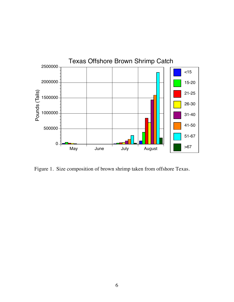

Figure 1. Size composition of brown shrimp taken from offshore Texas.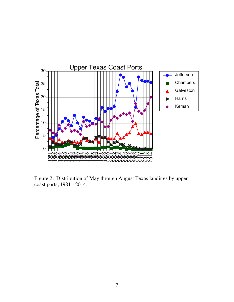

Figure 2. Distribution of May through August Texas landings by upper coast ports, 1981 - 2014.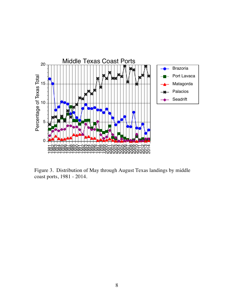

Figure 3. Distribution of May through August Texas landings by middle coast ports, 1981 - 2014.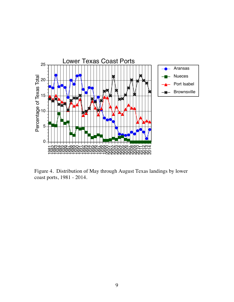

Figure 4. Distribution of May through August Texas landings by lower coast ports, 1981 - 2014.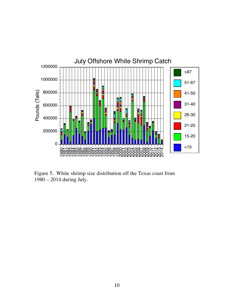

Figure 5. White shrimp size distribution off the Texas coast from 1980 – 2014 during July.